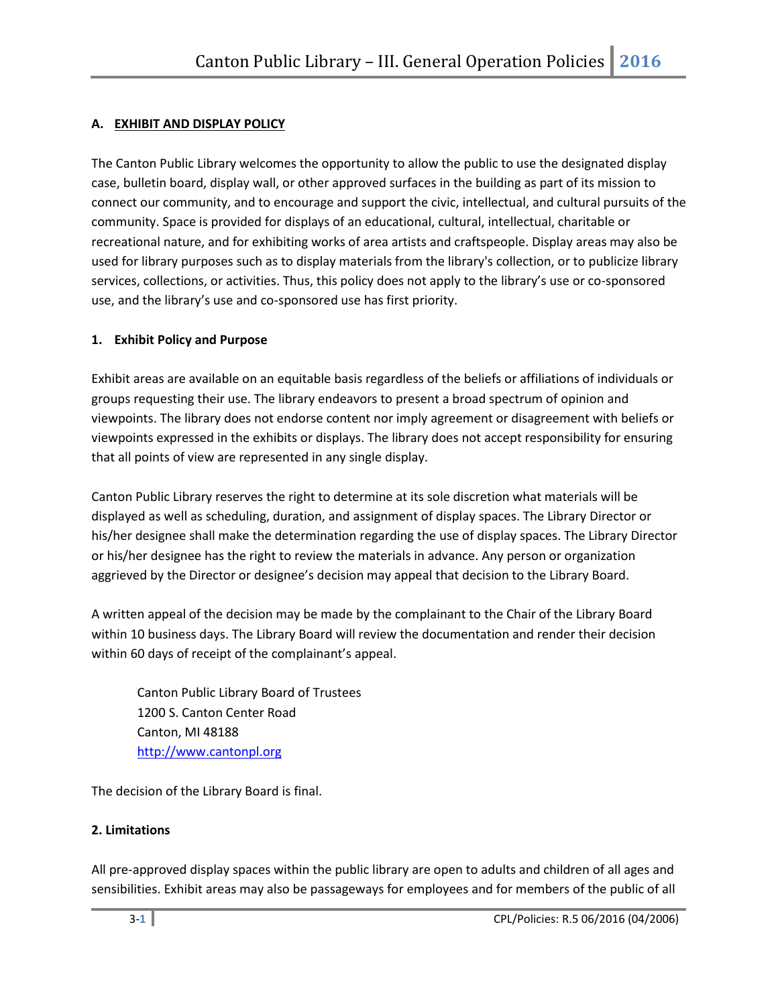# **A. EXHIBIT AND DISPLAY POLICY**

The Canton Public Library welcomes the opportunity to allow the public to use the designated display case, bulletin board, display wall, or other approved surfaces in the building as part of its mission to connect our community, and to encourage and support the civic, intellectual, and cultural pursuits of the community. Space is provided for displays of an educational, cultural, intellectual, charitable or recreational nature, and for exhibiting works of area artists and craftspeople. Display areas may also be used for library purposes such as to display materials from the library's collection, or to publicize library services, collections, or activities. Thus, this policy does not apply to the library's use or co-sponsored use, and the library's use and co-sponsored use has first priority.

## <span id="page-0-0"></span>**1. Exhibit Policy and Purpose**

Exhibit areas are available on an equitable basis regardless of the beliefs or affiliations of individuals or groups requesting their use. The library endeavors to present a broad spectrum of opinion and viewpoints. The library does not endorse content nor imply agreement or disagreement with beliefs or viewpoints expressed in the exhibits or displays. The library does not accept responsibility for ensuring that all points of view are represented in any single display.

Canton Public Library reserves the right to determine at its sole discretion what materials will be displayed as well as scheduling, duration, and assignment of display spaces. The Library Director or his/her designee shall make the determination regarding the use of display spaces. The Library Director or his/her designee has the right to review the materials in advance. Any person or organization aggrieved by the Director or designee's decision may appeal that decision to the Library Board.

A written appeal of the decision may be made by the complainant to the Chair of the Library Board within 10 business days. The Library Board will review the documentation and render their decision within 60 days of receipt of the complainant's appeal.

Canton Public Library Board of Trustees 1200 S. Canton Center Road Canton, MI 48188 [http://www.cantonpl.org](http://www.cantonpl.org/)

The decision of the Library Board is final.

#### **2. Limitations**

All pre-approved display spaces within the public library are open to adults and children of all ages and sensibilities. Exhibit areas may also be passageways for employees and for members of the public of all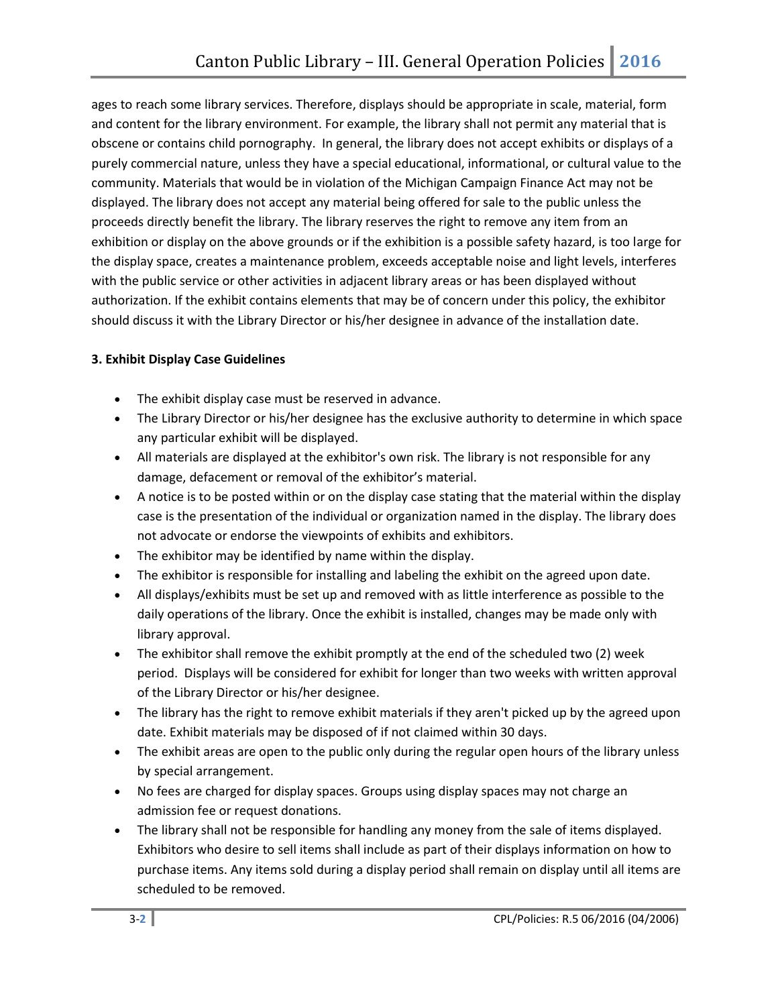ages to reach some library services. Therefore, displays should be appropriate in scale, material, form and content for the library environment. For example, the library shall not permit any material that is obscene or contains child pornography. In general, the library does not accept exhibits or displays of a purely commercial nature, unless they have a special educational, informational, or cultural value to the community. Materials that would be in violation of the Michigan Campaign Finance Act may not be displayed. The library does not accept any material being offered for sale to the public unless the proceeds directly benefit the library. The library reserves the right to remove any item from an exhibition or display on the above grounds or if the exhibition is a possible safety hazard, is too large for the display space, creates a maintenance problem, exceeds acceptable noise and light levels, interferes with the public service or other activities in adjacent library areas or has been displayed without authorization. If the exhibit contains elements that may be of concern under this policy, the exhibitor should discuss it with the Library Director or his/her designee in advance of the installation date.

# **3. Exhibit Display Case Guidelines**

- The exhibit display case must be reserved in advance.
- The Library Director or his/her designee has the exclusive authority to determine in which space any particular exhibit will be displayed.
- All materials are displayed at the exhibitor's own risk. The library is not responsible for any damage, defacement or removal of the exhibitor's material.
- A notice is to be posted within or on the display case stating that the material within the display case is the presentation of the individual or organization named in the display. The library does not advocate or endorse the viewpoints of exhibits and exhibitors.
- The exhibitor may be identified by name within the display.
- The exhibitor is responsible for installing and labeling the exhibit on the agreed upon date.
- All displays/exhibits must be set up and removed with as little interference as possible to the daily operations of the library. Once the exhibit is installed, changes may be made only with library approval.
- The exhibitor shall remove the exhibit promptly at the end of the scheduled two (2) week period. Displays will be considered for exhibit for longer than two weeks with written approval of the Library Director or his/her designee.
- The library has the right to remove exhibit materials if they aren't picked up by the agreed upon date. Exhibit materials may be disposed of if not claimed within 30 days.
- The exhibit areas are open to the public only during the regular open hours of the library unless by special arrangement.
- No fees are charged for display spaces. Groups using display spaces may not charge an admission fee or request donations.
- The library shall not be responsible for handling any money from the sale of items displayed. Exhibitors who desire to sell items shall include as part of their displays information on how to purchase items. Any items sold during a display period shall remain on display until all items are scheduled to be removed.